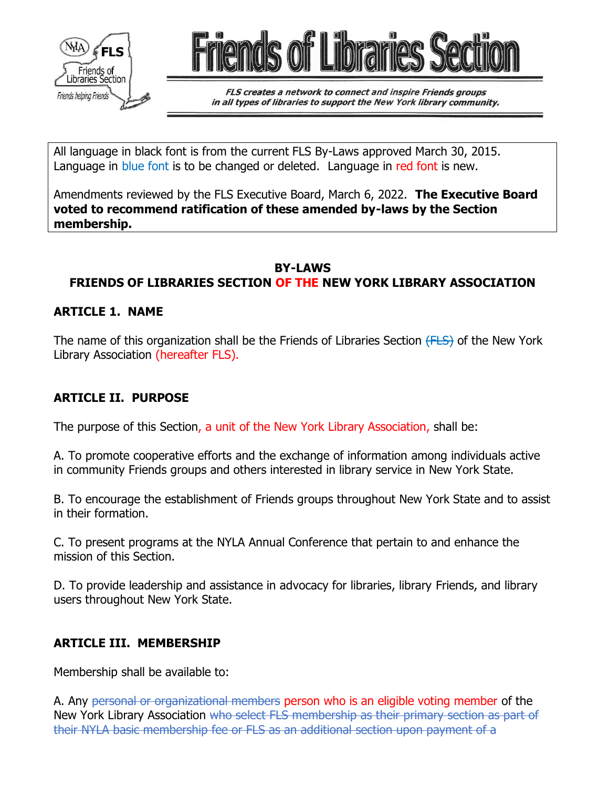



FLS creates a network to connect and inspire Friends groups in all types of libraries to support the New York library community.

All language in black font is from the current FLS By-Laws approved March 30, 2015. Language in blue font is to be changed or deleted. Language in red font is new.

Amendments reviewed by the FLS Executive Board, March 6, 2022. **The Executive Board voted to recommend ratification of these amended by-laws by the Section membership.** 

### **BY-LAWS**

# **FRIENDS OF LIBRARIES SECTION OF THE NEW YORK LIBRARY ASSOCIATION**

#### **ARTICLE 1. NAME**

The name of this organization shall be the Friends of Libraries Section (FLS) of the New York Library Association (hereafter FLS).

### **ARTICLE II. PURPOSE**

The purpose of this Section, a unit of the New York Library Association, shall be:

A. To promote cooperative efforts and the exchange of information among individuals active in community Friends groups and others interested in library service in New York State.

B. To encourage the establishment of Friends groups throughout New York State and to assist in their formation.

C. To present programs at the NYLA Annual Conference that pertain to and enhance the mission of this Section.

D. To provide leadership and assistance in advocacy for libraries, library Friends, and library users throughout New York State.

### **ARTICLE III. MEMBERSHIP**

Membership shall be available to:

A. Any personal or organizational members person who is an eligible voting member of the New York Library Association who select FLS membership as their primary section as part of their NYLA basic membership fee or FLS as an additional section upon payment of a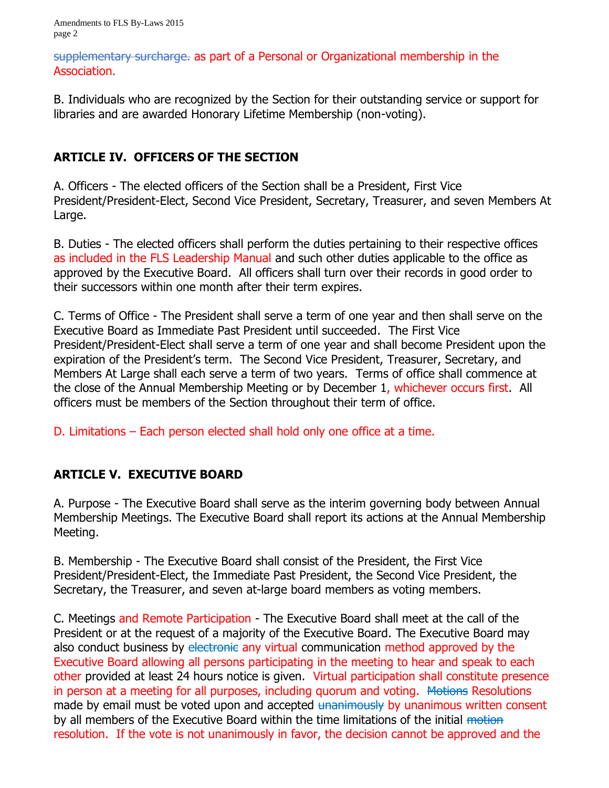Amendments to FLS By-Laws 2015 page 2

supplementary surcharge. as part of a Personal or Organizational membership in the Association.

B. Individuals who are recognized by the Section for their outstanding service or support for libraries and are awarded Honorary Lifetime Membership (non-voting).

### **ARTICLE IV. OFFICERS OF THE SECTION**

A. Officers - The elected officers of the Section shall be a President, First Vice President/President-Elect, Second Vice President, Secretary, Treasurer, and seven Members At Large.

B. Duties - The elected officers shall perform the duties pertaining to their respective offices as included in the FLS Leadership Manual and such other duties applicable to the office as approved by the Executive Board. All officers shall turn over their records in good order to their successors within one month after their term expires.

C. Terms of Office - The President shall serve a term of one year and then shall serve on the Executive Board as Immediate Past President until succeeded. The First Vice President/President-Elect shall serve a term of one year and shall become President upon the expiration of the President's term. The Second Vice President, Treasurer, Secretary, and Members At Large shall each serve a term of two years. Terms of office shall commence at the close of the Annual Membership Meeting or by December 1, whichever occurs first. All officers must be members of the Section throughout their term of office.

D. Limitations – Each person elected shall hold only one office at a time.

## **ARTICLE V. EXECUTIVE BOARD**

A. Purpose - The Executive Board shall serve as the interim governing body between Annual Membership Meetings. The Executive Board shall report its actions at the Annual Membership Meeting.

B. Membership - The Executive Board shall consist of the President, the First Vice President/President-Elect, the Immediate Past President, the Second Vice President, the Secretary, the Treasurer, and seven at-large board members as voting members.

C. Meetings and Remote Participation - The Executive Board shall meet at the call of the President or at the request of a majority of the Executive Board. The Executive Board may also conduct business by electronic any virtual communication method approved by the Executive Board allowing all persons participating in the meeting to hear and speak to each other provided at least 24 hours notice is given. Virtual participation shall constitute presence in person at a meeting for all purposes, including quorum and voting. Motions Resolutions made by email must be voted upon and accepted unanimously by unanimous written consent by all members of the Executive Board within the time limitations of the initial motion resolution. If the vote is not unanimously in favor, the decision cannot be approved and the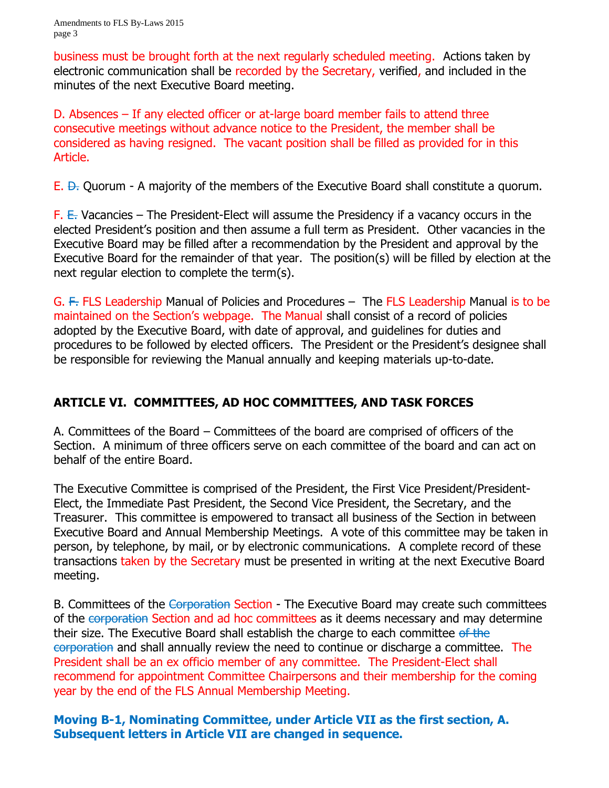business must be brought forth at the next regularly scheduled meeting. Actions taken by electronic communication shall be recorded by the Secretary, verified, and included in the minutes of the next Executive Board meeting.

D. Absences – If any elected officer or at-large board member fails to attend three consecutive meetings without advance notice to the President, the member shall be considered as having resigned. The vacant position shall be filled as provided for in this Article.

 $E.$   $\leftrightarrow$  Ouorum - A majority of the members of the Executive Board shall constitute a quorum.

 $F$ .  $E$ . Vacancies – The President-Elect will assume the Presidency if a vacancy occurs in the elected President's position and then assume a full term as President. Other vacancies in the Executive Board may be filled after a recommendation by the President and approval by the Executive Board for the remainder of that year. The position(s) will be filled by election at the next regular election to complete the term(s).

G. F. FLS Leadership Manual of Policies and Procedures – The FLS Leadership Manual is to be maintained on the Section's webpage. The Manual shall consist of a record of policies adopted by the Executive Board, with date of approval, and guidelines for duties and procedures to be followed by elected officers. The President or the President's designee shall be responsible for reviewing the Manual annually and keeping materials up-to-date.

#### **ARTICLE VI. COMMITTEES, AD HOC COMMITTEES, AND TASK FORCES**

A. Committees of the Board – Committees of the board are comprised of officers of the Section. A minimum of three officers serve on each committee of the board and can act on behalf of the entire Board.

The Executive Committee is comprised of the President, the First Vice President/President-Elect, the Immediate Past President, the Second Vice President, the Secretary, and the Treasurer. This committee is empowered to transact all business of the Section in between Executive Board and Annual Membership Meetings. A vote of this committee may be taken in person, by telephone, by mail, or by electronic communications. A complete record of these transactions taken by the Secretary must be presented in writing at the next Executive Board meeting.

B. Committees of the Corporation Section - The Executive Board may create such committees of the corporation Section and ad hoc committees as it deems necessary and may determine their size. The Executive Board shall establish the charge to each committee of the corporation and shall annually review the need to continue or discharge a committee. The President shall be an ex officio member of any committee. The President-Elect shall recommend for appointment Committee Chairpersons and their membership for the coming year by the end of the FLS Annual Membership Meeting.

**Moving B-1, Nominating Committee, under Article VII as the first section, A. Subsequent letters in Article VII are changed in sequence.**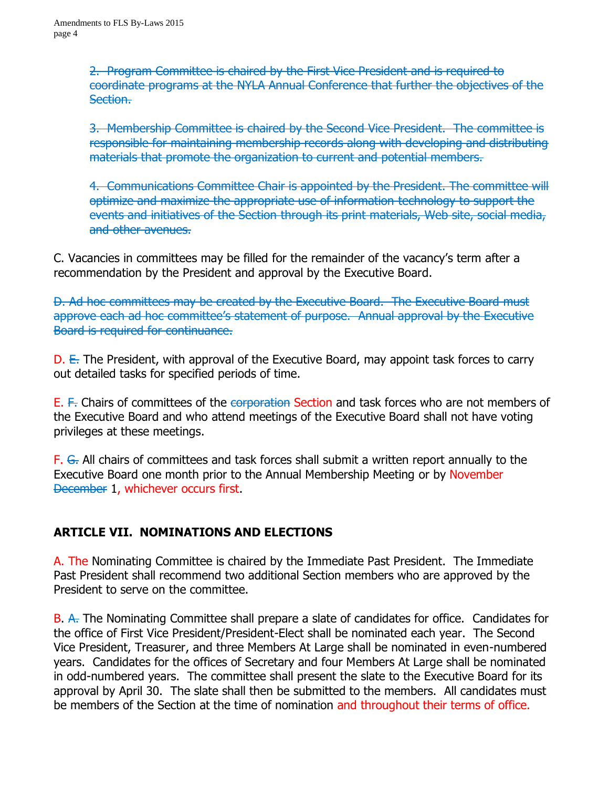2. Program Committee is chaired by the First Vice President and is required to coordinate programs at the NYLA Annual Conference that further the objectives of the Section.

3. Membership Committee is chaired by the Second Vice President. The committee is responsible for maintaining membership records along with developing and distributing materials that promote the organization to current and potential members.

4. Communications Committee Chair is appointed by the President. The committee will optimize and maximize the appropriate use of information technology to support the events and initiatives of the Section through its print materials, Web site, social media, and other avenues.

C. Vacancies in committees may be filled for the remainder of the vacancy's term after a recommendation by the President and approval by the Executive Board.

D. Ad hoc committees may be created by the Executive Board. The Executive Board must approve each ad hoc committee's statement of purpose. Annual approval by the Executive Board is required for continuance.

 $D.$  E. The President, with approval of the Executive Board, may appoint task forces to carry out detailed tasks for specified periods of time.

E. F. Chairs of committees of the corporation Section and task forces who are not members of the Executive Board and who attend meetings of the Executive Board shall not have voting privileges at these meetings.

F. G. All chairs of committees and task forces shall submit a written report annually to the Executive Board one month prior to the Annual Membership Meeting or by November December 1, whichever occurs first.

## **ARTICLE VII. NOMINATIONS AND ELECTIONS**

A. The Nominating Committee is chaired by the Immediate Past President. The Immediate Past President shall recommend two additional Section members who are approved by the President to serve on the committee.

B. A. The Nominating Committee shall prepare a slate of candidates for office. Candidates for the office of First Vice President/President-Elect shall be nominated each year. The Second Vice President, Treasurer, and three Members At Large shall be nominated in even-numbered years. Candidates for the offices of Secretary and four Members At Large shall be nominated in odd-numbered years. The committee shall present the slate to the Executive Board for its approval by April 30. The slate shall then be submitted to the members. All candidates must be members of the Section at the time of nomination and throughout their terms of office.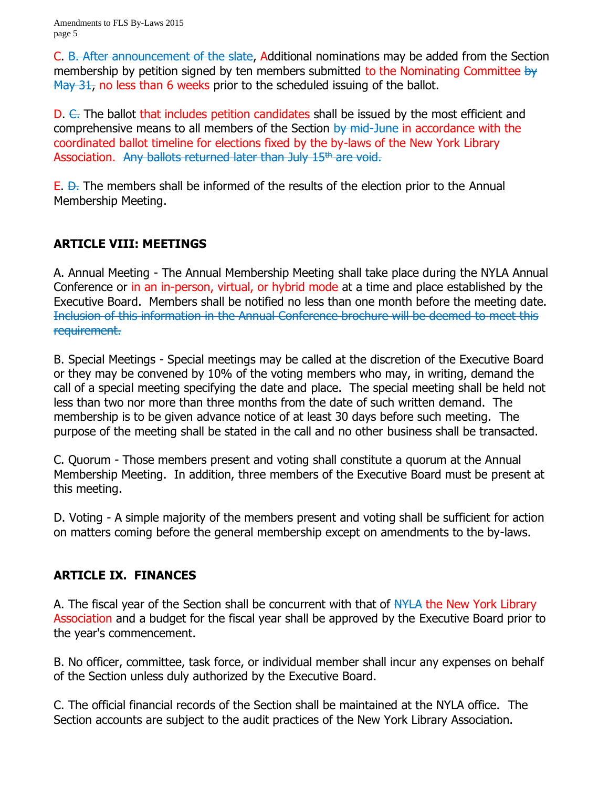C. B. After announcement of the slate, Additional nominations may be added from the Section membership by petition signed by ten members submitted to the Nominating Committee by May 31, no less than 6 weeks prior to the scheduled issuing of the ballot.

D.  $\epsilon$ . The ballot that includes petition candidates shall be issued by the most efficient and comprehensive means to all members of the Section by mid-June in accordance with the coordinated ballot timeline for elections fixed by the by-laws of the New York Library Association. Any ballots returned later than July 15<sup>th</sup> are void.

 $E.$   $\leftrightarrow$ . The members shall be informed of the results of the election prior to the Annual Membership Meeting.

## **ARTICLE VIII: MEETINGS**

A. Annual Meeting - The Annual Membership Meeting shall take place during the NYLA Annual Conference or in an in-person, virtual, or hybrid mode at a time and place established by the Executive Board. Members shall be notified no less than one month before the meeting date. Inclusion of this information in the Annual Conference brochure will be deemed to meet this requirement.

B. Special Meetings - Special meetings may be called at the discretion of the Executive Board or they may be convened by 10% of the voting members who may, in writing, demand the call of a special meeting specifying the date and place. The special meeting shall be held not less than two nor more than three months from the date of such written demand. The membership is to be given advance notice of at least 30 days before such meeting. The purpose of the meeting shall be stated in the call and no other business shall be transacted.

C. Quorum - Those members present and voting shall constitute a quorum at the Annual Membership Meeting. In addition, three members of the Executive Board must be present at this meeting.

D. Voting - A simple majority of the members present and voting shall be sufficient for action on matters coming before the general membership except on amendments to the by-laws.

## **ARTICLE IX. FINANCES**

A. The fiscal year of the Section shall be concurrent with that of NYLA the New York Library Association and a budget for the fiscal year shall be approved by the Executive Board prior to the year's commencement.

B. No officer, committee, task force, or individual member shall incur any expenses on behalf of the Section unless duly authorized by the Executive Board.

C. The official financial records of the Section shall be maintained at the NYLA office. The Section accounts are subject to the audit practices of the New York Library Association.